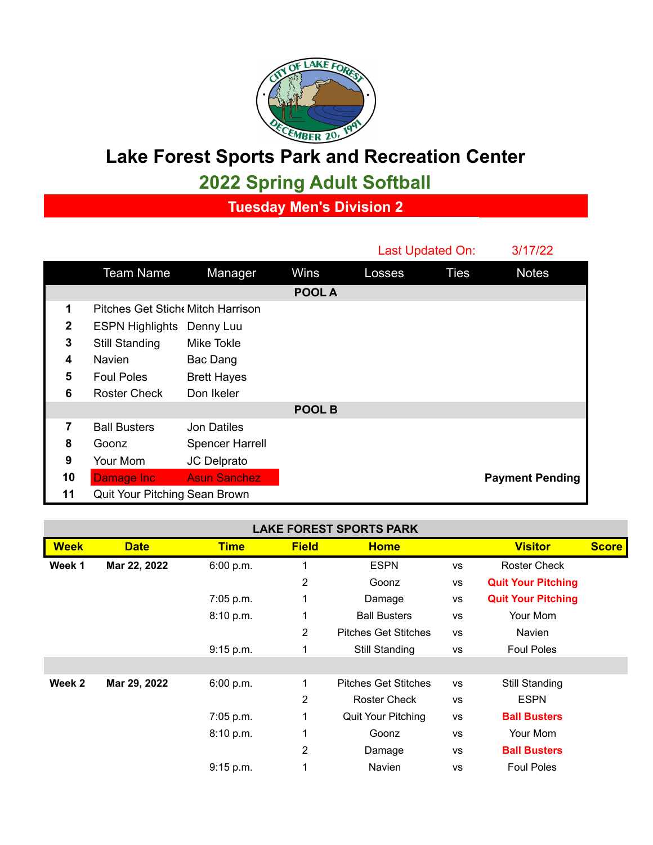

## **Lake Forest Sports Park and Recreation Center**

**2022 Spring Adult Softball**

**Tuesday Men's Division 2**

|               |                                  |                        |        | Last Updated On: |             | 3/17/22                |  |  |
|---------------|----------------------------------|------------------------|--------|------------------|-------------|------------------------|--|--|
|               | <b>Team Name</b>                 | Manager                | Wins   | Losses           | <b>Ties</b> | <b>Notes</b>           |  |  |
|               |                                  |                        | POOL A |                  |             |                        |  |  |
| 1             | Pitches Get Stich Mitch Harrison |                        |        |                  |             |                        |  |  |
| $\mathbf{2}$  | <b>ESPN Highlights</b>           | Denny Luu              |        |                  |             |                        |  |  |
| 3             | <b>Still Standing</b>            | Mike Tokle             |        |                  |             |                        |  |  |
| 4             | <b>Navien</b>                    | Bac Dang               |        |                  |             |                        |  |  |
| 5             | <b>Foul Poles</b>                | <b>Brett Hayes</b>     |        |                  |             |                        |  |  |
| 6             | <b>Roster Check</b>              | Don Ikeler             |        |                  |             |                        |  |  |
| <b>POOL B</b> |                                  |                        |        |                  |             |                        |  |  |
| 7             | <b>Ball Busters</b>              | <b>Jon Datiles</b>     |        |                  |             |                        |  |  |
| 8             | Goonz                            | <b>Spencer Harrell</b> |        |                  |             |                        |  |  |
| 9             | Your Mom                         | JC Delprato            |        |                  |             |                        |  |  |
| 10            | Damage Inc                       | <b>Asun Sanchez</b>    |        |                  |             | <b>Payment Pending</b> |  |  |
| 11            | Quit Your Pitching Sean Brown    |                        |        |                  |             |                        |  |  |

| <b>LAKE FOREST SPORTS PARK</b> |              |             |              |                             |           |                           |              |  |  |
|--------------------------------|--------------|-------------|--------------|-----------------------------|-----------|---------------------------|--------------|--|--|
| <b>Week</b>                    | <b>Date</b>  | <b>Time</b> | <b>Field</b> | <b>Home</b>                 |           | <b>Visitor</b>            | <b>Score</b> |  |  |
| Week 1                         | Mar 22, 2022 | 6:00 p.m.   |              | <b>ESPN</b>                 | <b>VS</b> | Roster Check              |              |  |  |
|                                |              |             | 2            | Goonz                       | <b>VS</b> | <b>Quit Your Pitching</b> |              |  |  |
|                                |              | 7:05 p.m.   | 1            | Damage                      | <b>VS</b> | <b>Quit Your Pitching</b> |              |  |  |
|                                |              | 8:10 p.m.   | 1            | <b>Ball Busters</b>         | <b>VS</b> | Your Mom                  |              |  |  |
|                                |              |             | 2            | <b>Pitches Get Stitches</b> | <b>VS</b> | Navien                    |              |  |  |
|                                |              | 9:15 p.m.   | 1            | Still Standing              | VS        | <b>Foul Poles</b>         |              |  |  |
|                                |              |             |              |                             |           |                           |              |  |  |
| Week 2                         | Mar 29, 2022 | 6:00 p.m.   | 1            | <b>Pitches Get Stitches</b> | <b>VS</b> | Still Standing            |              |  |  |
|                                |              |             | 2            | <b>Roster Check</b>         | <b>VS</b> | <b>ESPN</b>               |              |  |  |
|                                |              | 7:05 p.m.   | 1            | Quit Your Pitching          | <b>VS</b> | <b>Ball Busters</b>       |              |  |  |
|                                |              | 8:10 p.m.   | 1            | Goonz                       | <b>VS</b> | Your Mom                  |              |  |  |
|                                |              |             | 2            | Damage                      | <b>VS</b> | <b>Ball Busters</b>       |              |  |  |
|                                |              | 9:15 p.m.   | 1            | Navien                      | <b>VS</b> | <b>Foul Poles</b>         |              |  |  |